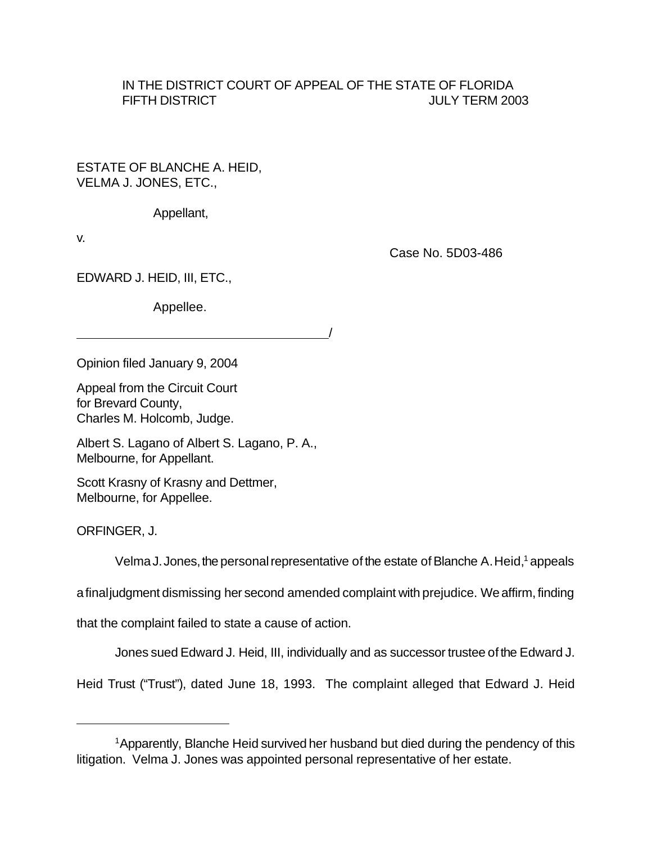## IN THE DISTRICT COURT OF APPEAL OF THE STATE OF FLORIDA FIFTH DISTRICT **THE STATE OF A STATE OF A STATE OF A STATE OF A STATE OF A STATE OF A STATE OF A STATE OF A ST**

ESTATE OF BLANCHE A. HEID, VELMA J. JONES, ETC.,

Appellant,

v.

Case No. 5D03-486

EDWARD J. HEID, III, ETC.,

Appellee.

<u>/</u>

Opinion filed January 9, 2004

Appeal from the Circuit Court for Brevard County, Charles M. Holcomb, Judge.

Albert S. Lagano of Albert S. Lagano, P. A., Melbourne, for Appellant.

Scott Krasny of Krasny and Dettmer, Melbourne, for Appellee.

ORFINGER, J.

Velma J. Jones, the personal representative of the estate of Blanche A. Heid,<sup>1</sup> appeals

afinaljudgment dismissing her second amended complaint with prejudice. We affirm, finding

that the complaint failed to state a cause of action.

Jones sued Edward J. Heid, III, individually and as successor trustee of the Edward J.

Heid Trust ("Trust"), dated June 18, 1993. The complaint alleged that Edward J. Heid

<sup>&</sup>lt;sup>1</sup> Apparently, Blanche Heid survived her husband but died during the pendency of this litigation. Velma J. Jones was appointed personal representative of her estate.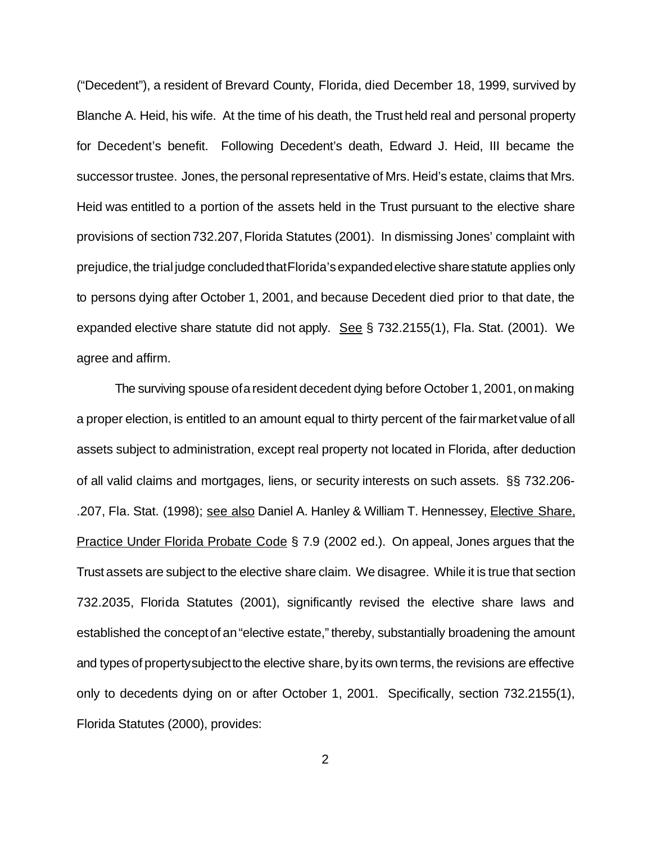("Decedent"), a resident of Brevard County, Florida, died December 18, 1999, survived by Blanche A. Heid, his wife. At the time of his death, the Trust held real and personal property for Decedent's benefit. Following Decedent's death, Edward J. Heid, III became the successor trustee. Jones, the personal representative of Mrs. Heid's estate, claims that Mrs. Heid was entitled to a portion of the assets held in the Trust pursuant to the elective share provisions of section732.207,Florida Statutes (2001). In dismissing Jones' complaint with prejudice, the trial judge concluded that Florida's expanded elective share statute applies only to persons dying after October 1, 2001, and because Decedent died prior to that date, the expanded elective share statute did not apply. See § 732.2155(1), Fla. Stat. (2001). We agree and affirm.

The surviving spouse of a resident decedent dying before October 1, 2001, on making a proper election, is entitled to an amount equal to thirty percent of the fairmarket value of all assets subject to administration, except real property not located in Florida, after deduction of all valid claims and mortgages, liens, or security interests on such assets. §§ 732.206- .207, Fla. Stat. (1998); see also Daniel A. Hanley & William T. Hennessey, Elective Share, Practice Under Florida Probate Code § 7.9 (2002 ed.). On appeal, Jones argues that the Trust assets are subject to the elective share claim. We disagree. While it is true that section 732.2035, Florida Statutes (2001), significantly revised the elective share laws and established the conceptof an"elective estate," thereby, substantially broadening the amount and types of property subject to the elective share, by its own terms, the revisions are effective only to decedents dying on or after October 1, 2001. Specifically, section 732.2155(1), Florida Statutes (2000), provides:

2